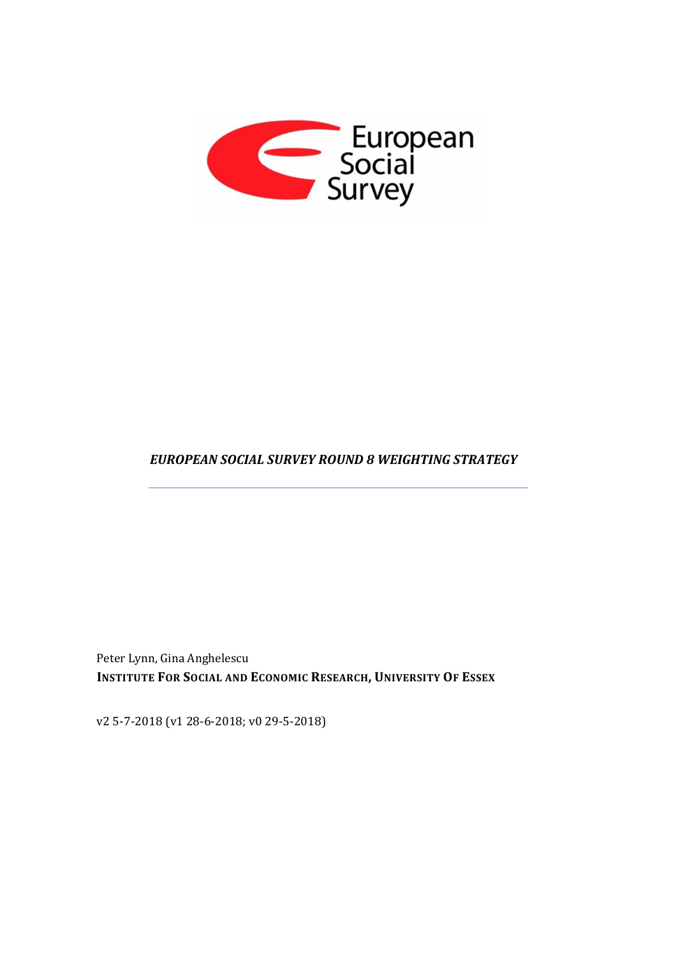

## *EUROPEAN SOCIAL SURVEY ROUND 8 WEIGHTING STRATEGY*

Peter Lynn, Gina Anghelescu **INSTITUTE FOR SOCIAL AND ECONOMIC RESEARCH, UNIVERSITY OF ESSEX**

v2 5-7-2018 (v1 28-6-2018; v0 29-5-2018)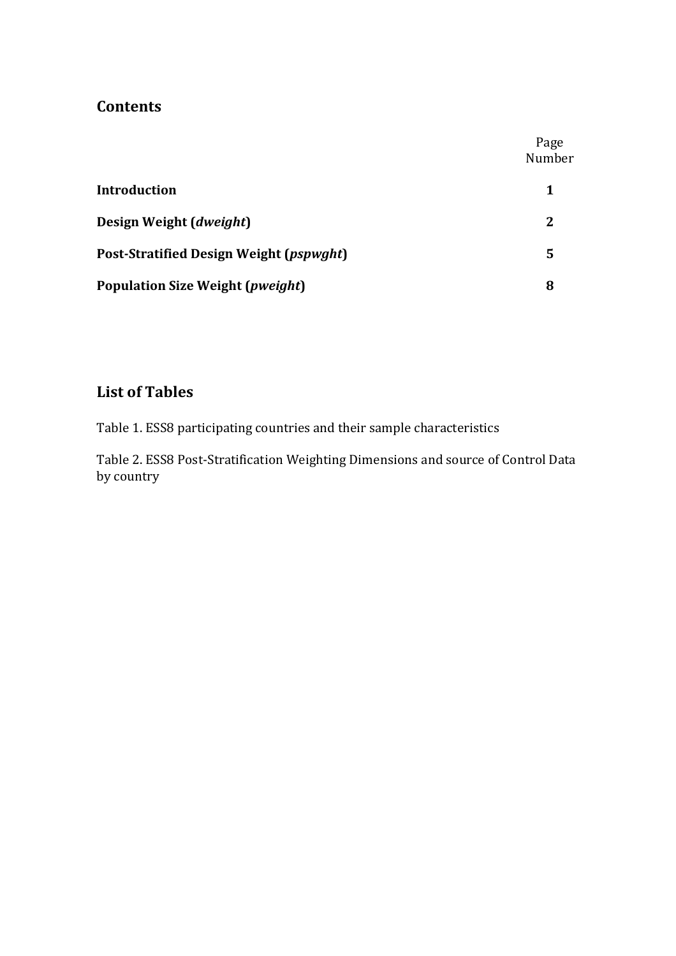# **Contents**

|                                         | Page<br>Number |
|-----------------------------------------|----------------|
| <b>Introduction</b>                     | 1              |
| Design Weight (dweight)                 | 2              |
| Post-Stratified Design Weight (pspwght) | 5              |
| Population Size Weight (pweight)        | 8              |

# **List of Tables**

Table 1. ESS8 participating countries and their sample characteristics

Table 2. ESS8 Post-Stratification Weighting Dimensions and source of Control Data by country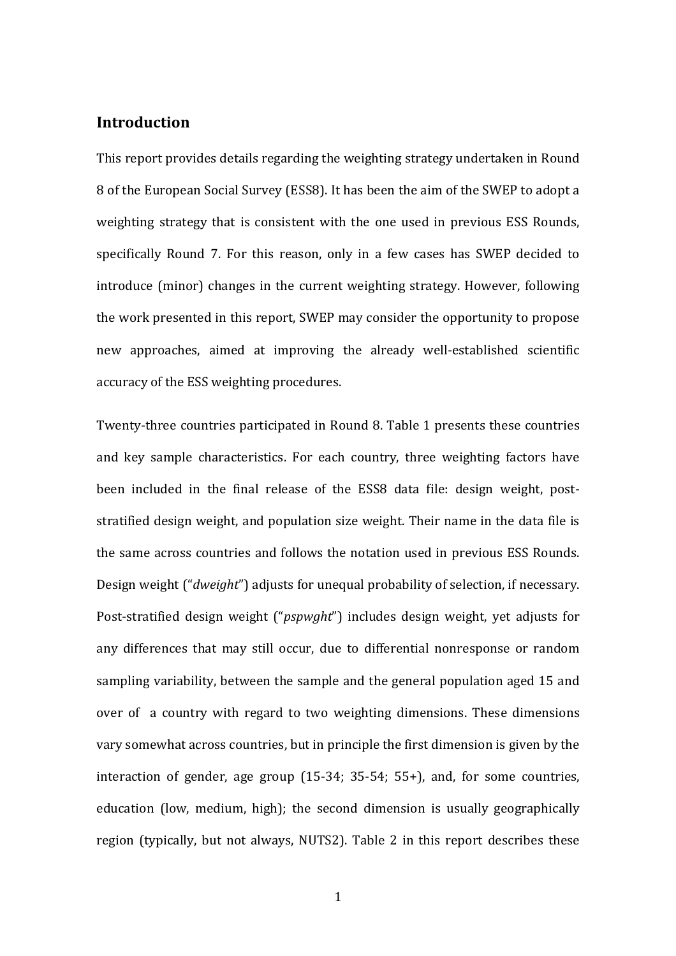### **Introduction**

This report provides details regarding the weighting strategy undertaken in Round 8 of the European Social Survey (ESS8). It has been the aim of the SWEP to adopt a weighting strategy that is consistent with the one used in previous ESS Rounds, specifically Round 7. For this reason, only in a few cases has SWEP decided to introduce (minor) changes in the current weighting strategy. However, following the work presented in this report, SWEP may consider the opportunity to propose new approaches, aimed at improving the already well-established scientific accuracy of the ESS weighting procedures.

Twenty-three countries participated in Round 8. Table 1 presents these countries and key sample characteristics. For each country, three weighting factors have been included in the final release of the ESS8 data file: design weight, poststratified design weight, and population size weight. Their name in the data file is the same across countries and follows the notation used in previous ESS Rounds. Design weight ("*dweight*") adjusts for unequal probability of selection, if necessary. Post-stratified design weight ("*pspwght*") includes design weight, yet adjusts for any differences that may still occur, due to differential nonresponse or random sampling variability, between the sample and the general population aged 15 and over of a country with regard to two weighting dimensions. These dimensions vary somewhat across countries, but in principle the first dimension is given by the interaction of gender, age group (15-34; 35-54; 55+), and, for some countries, education (low, medium, high); the second dimension is usually geographically region (typically, but not always, NUTS2). Table 2 in this report describes these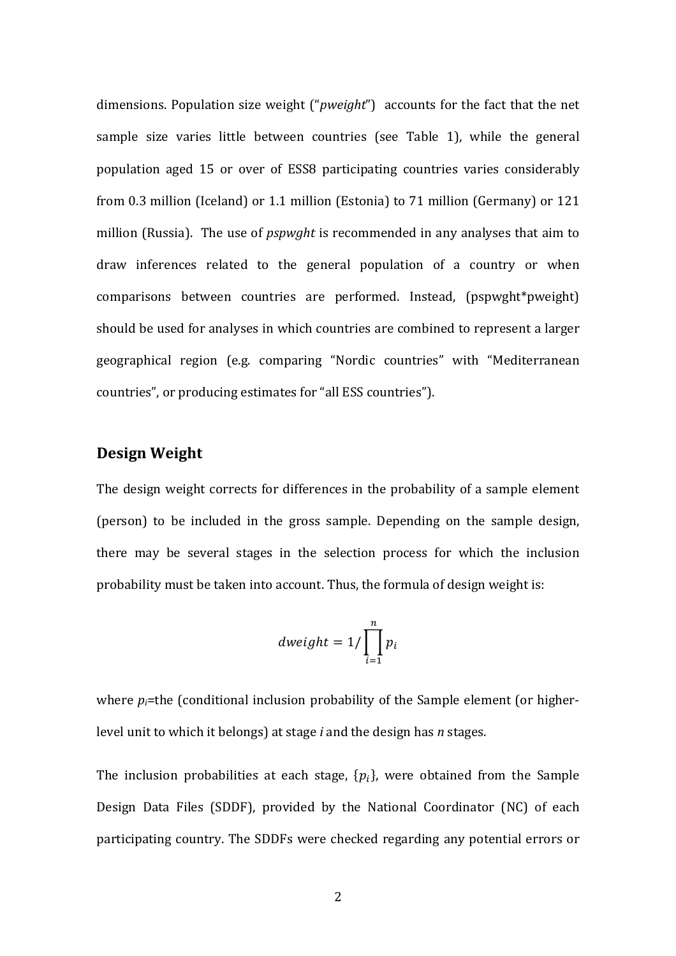dimensions. Population size weight ("*pweight*") accounts for the fact that the net sample size varies little between countries (see Table 1), while the general population aged 15 or over of ESS8 participating countries varies considerably from 0.3 million (Iceland) or 1.1 million (Estonia) to 71 million (Germany) or 121 million (Russia). The use of *pspwght* is recommended in any analyses that aim to draw inferences related to the general population of a country or when comparisons between countries are performed. Instead, (pspwght\*pweight) should be used for analyses in which countries are combined to represent a larger geographical region (e.g. comparing "Nordic countries" with "Mediterranean countries", or producing estimates for "all ESS countries").

#### **Design Weight**

The design weight corrects for differences in the probability of a sample element (person) to be included in the gross sample. Depending on the sample design, there may be several stages in the selection process for which the inclusion probability must be taken into account. Thus, the formula of design weight is:

$$
dweight = 1/\prod_{i=1}^{n} p_i
$$

where  $p_i$ =the (conditional inclusion probability of the Sample element (or higherlevel unit to which it belongs) at stage *i* and the design has *n* stages.

The inclusion probabilities at each stage,  $\{p_i\}$ , were obtained from the Sample Design Data Files (SDDF), provided by the National Coordinator (NC) of each participating country. The SDDFs were checked regarding any potential errors or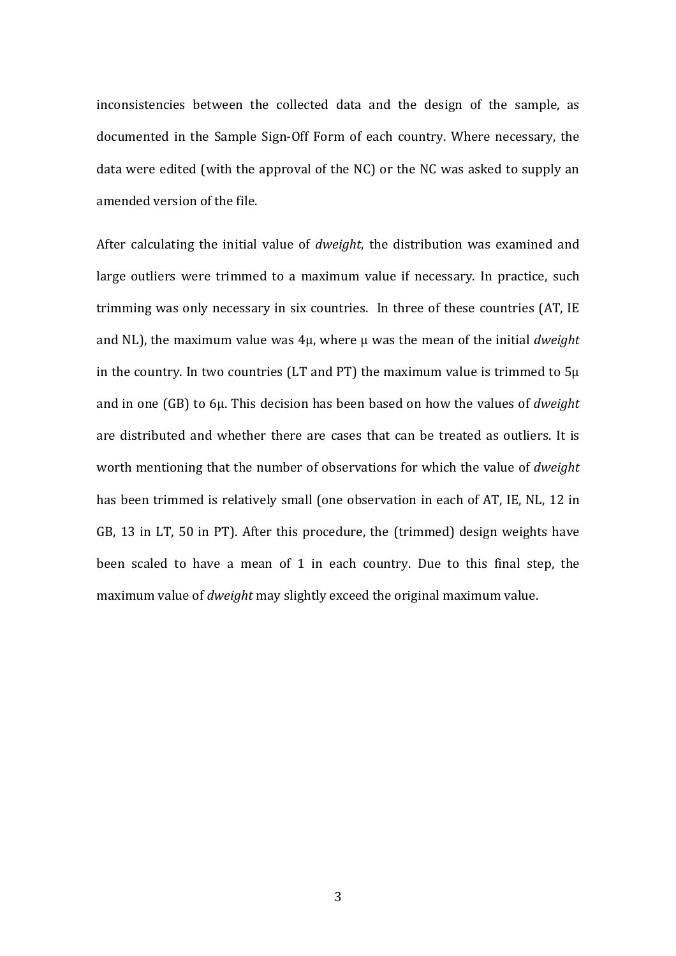inconsistencies between the collected data and the design of the sample, as documented in the Sample Sign-Off Form of each country. Where necessary, the data were edited (with the approval of the NC) or the NC was asked to supply an amended version of the file.

After calculating the initial value of *dweight*, the distribution was examined and large outliers were trimmed to a maximum value if necessary. In practice, such trimming was only necessary in six countries. In three of these countries (AT, IE and NL), the maximum value was 4μ, where μ was the mean of the initial *dweight* in the country. In two countries (LT and PT) the maximum value is trimmed to 5μ and in one (GB) to 6μ. This decision has been based on how the values of *dweight* are distributed and whether there are cases that can be treated as outliers. It is worth mentioning that the number of observations for which the value of *dweight* has been trimmed is relatively small (one observation in each of AT, IE, NL, 12 in GB, 13 in LT, 50 in PT). After this procedure, the (trimmed) design weights have been scaled to have a mean of 1 in each country. Due to this final step, the maximum value of *dweight* may slightly exceed the original maximum value.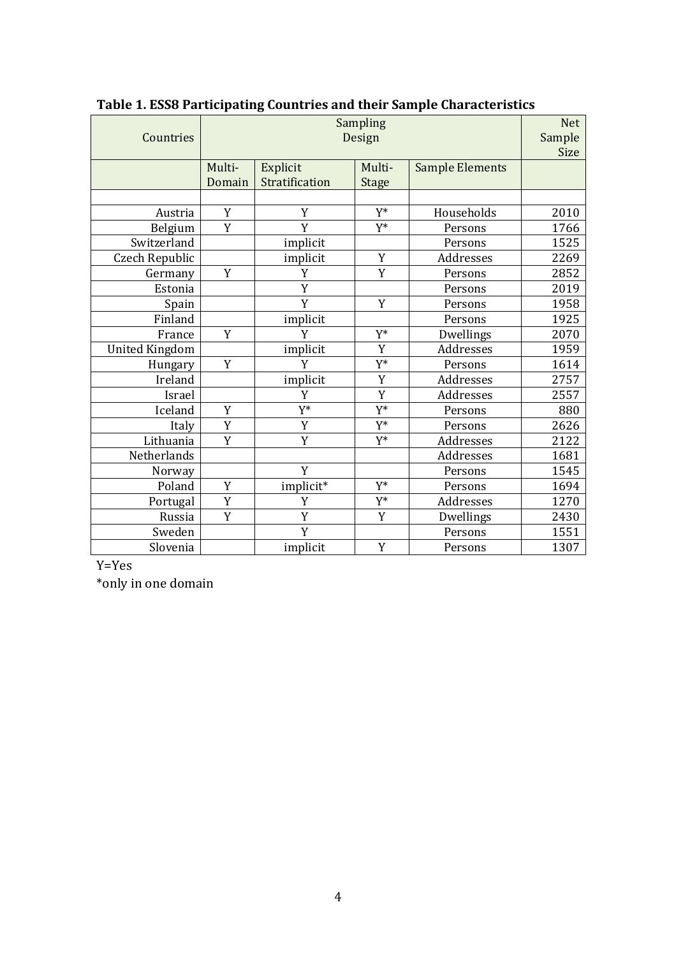| Countries             | Sampling<br>Design |                            |                        | <b>Net</b><br>Sample<br>Size |      |
|-----------------------|--------------------|----------------------------|------------------------|------------------------------|------|
|                       | Multi-<br>Domain   | Explicit<br>Stratification | Multi-<br><b>Stage</b> | <b>Sample Elements</b>       |      |
|                       |                    |                            |                        |                              |      |
| Austria               | Y                  | Y                          | Y*                     | Households                   | 2010 |
| Belgium               | Y                  | Y                          | Y*                     | Persons                      | 1766 |
| Switzerland           |                    | implicit                   |                        | Persons                      | 1525 |
| Czech Republic        |                    | implicit                   | Y                      | Addresses                    | 2269 |
| Germany               | Y                  | Y                          | Y                      | Persons                      | 2852 |
| Estonia               |                    | Y                          |                        | Persons                      | 2019 |
| Spain                 |                    | Y                          | Y                      | Persons                      | 1958 |
| Finland               |                    | implicit                   |                        | Persons                      | 1925 |
| France                | Y                  | Y                          | Y*                     | Dwellings                    | 2070 |
| <b>United Kingdom</b> |                    | implicit                   | Y                      | Addresses                    | 1959 |
| Hungary               | Y                  | Y                          | Y*                     | Persons                      | 1614 |
| Ireland               |                    | implicit                   | Y                      | Addresses                    | 2757 |
| Israel                |                    | Y                          | Y                      | Addresses                    | 2557 |
| Iceland               | Y                  | Y*                         | Y*                     | Persons                      | 880  |
| Italy                 | Y                  | Y                          | Y*                     | Persons                      | 2626 |
| Lithuania             | Y                  | Y                          | Y*                     | Addresses                    | 2122 |
| Netherlands           |                    |                            |                        | Addresses                    | 1681 |
| Norway                |                    | Y                          |                        | Persons                      | 1545 |
| Poland                | Y                  | implicit*                  | Y*                     | Persons                      | 1694 |
| Portugal              | Y                  | Y                          | Y*                     | Addresses                    | 1270 |
| Russia                | Y                  | Y                          | Y                      | Dwellings                    | 2430 |
| Sweden                |                    | Y                          |                        | Persons                      | 1551 |
| Slovenia              |                    | implicit                   | Y                      | Persons                      | 1307 |

**Table 1. ESS8 Participating Countries and their Sample Characteristics** 

Y=Yes

\*only in one domain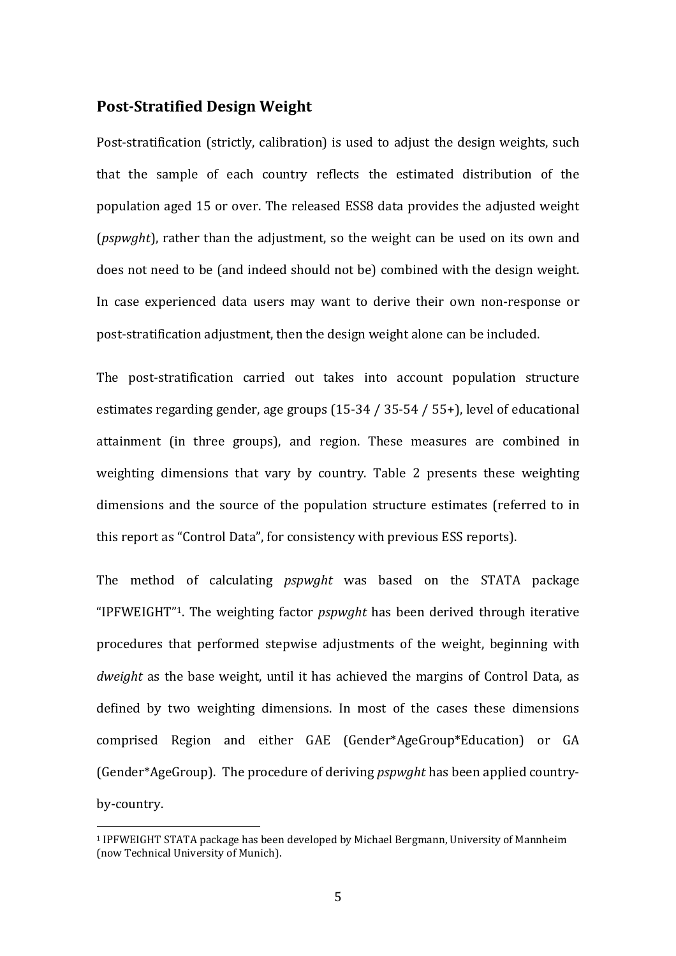### **Post-Stratified Design Weight**

Post-stratification (strictly, calibration) is used to adjust the design weights, such that the sample of each country reflects the estimated distribution of the population aged 15 or over. The released ESS8 data provides the adjusted weight (*pspwght*), rather than the adjustment, so the weight can be used on its own and does not need to be (and indeed should not be) combined with the design weight. In case experienced data users may want to derive their own non-response or post-stratification adjustment, then the design weight alone can be included.

The post-stratification carried out takes into account population structure estimates regarding gender, age groups (15-34 / 35-54 / 55+), level of educational attainment (in three groups), and region. These measures are combined in weighting dimensions that vary by country. Table 2 presents these weighting dimensions and the source of the population structure estimates (referred to in this report as "Control Data", for consistency with previous ESS reports).

The method of calculating *pspwght* was based on the STATA package "IPFWEIGHT"1. The weighting factor *pspwght* has been derived through iterative procedures that performed stepwise adjustments of the weight, beginning with *dweight* as the base weight, until it has achieved the margins of Control Data, as defined by two weighting dimensions. In most of the cases these dimensions comprised Region and either GAE (Gender\*AgeGroup\*Education) or GA (Gender\*AgeGroup). The procedure of deriving *pspwght* has been applied countryby-country.

 $\overline{a}$ 

<sup>1</sup> IPFWEIGHT STATA package has been developed by Michael Bergmann, University of Mannheim (now Technical University of Munich).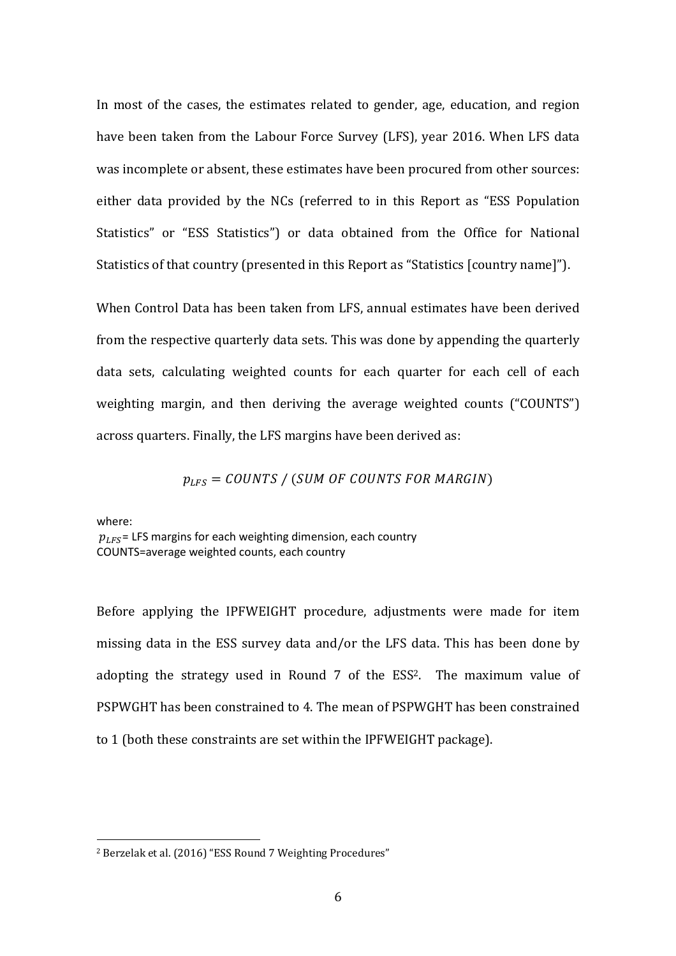In most of the cases, the estimates related to gender, age, education, and region have been taken from the Labour Force Survey (LFS), year 2016. When LFS data was incomplete or absent, these estimates have been procured from other sources: either data provided by the NCs (referred to in this Report as "ESS Population Statistics" or "ESS Statistics") or data obtained from the Office for National Statistics of that country (presented in this Report as "Statistics [country name]").

When Control Data has been taken from LFS, annual estimates have been derived from the respective quarterly data sets. This was done by appending the quarterly data sets, calculating weighted counts for each quarter for each cell of each weighting margin, and then deriving the average weighted counts ("COUNTS") across quarters. Finally, the LFS margins have been derived as:

 $p_{LFS} = \text{COUNTS} / (\text{SUM OF COUNTS FOR MARGIN})$ 

where:

 $\overline{a}$ 

 $p_{IFS}$  = LFS margins for each weighting dimension, each country COUNTS=average weighted counts, each country

Before applying the IPFWEIGHT procedure, adjustments were made for item missing data in the ESS survey data and/or the LFS data. This has been done by adopting the strategy used in Round 7 of the ESS<sup>2</sup>. The maximum value of PSPWGHT has been constrained to 4. The mean of PSPWGHT has been constrained to 1 (both these constraints are set within the IPFWEIGHT package).

<sup>2</sup> Berzelak et al. (2016) "ESS Round 7 Weighting Procedures"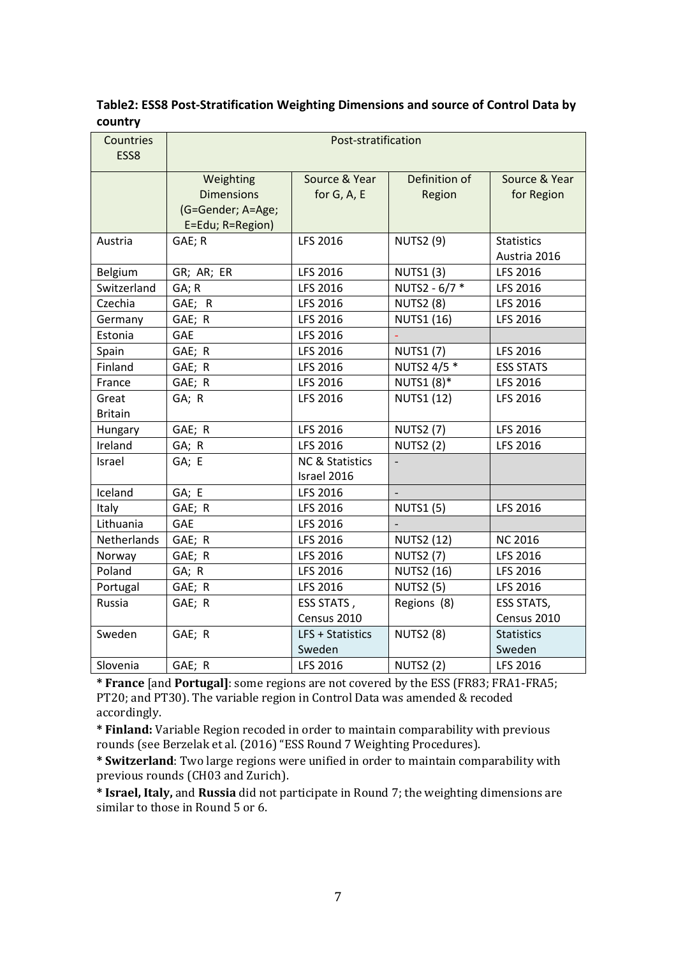#### **Table2: ESS8 Post-Stratification Weighting Dimensions and source of Control Data by country**

| Countries<br>ESS8 | Post-stratification |                            |                   |                   |  |  |
|-------------------|---------------------|----------------------------|-------------------|-------------------|--|--|
|                   | Weighting           | Source & Year              | Definition of     | Source & Year     |  |  |
|                   | <b>Dimensions</b>   | for G, A, E                | Region            | for Region        |  |  |
|                   | (G=Gender; A=Age;   |                            |                   |                   |  |  |
|                   | E=Edu; R=Region)    |                            |                   |                   |  |  |
| Austria           | GAE; R              | LFS 2016                   | <b>NUTS2 (9)</b>  | <b>Statistics</b> |  |  |
|                   |                     |                            |                   | Austria 2016      |  |  |
| Belgium           | GR; AR; ER          | LFS 2016                   | <b>NUTS1(3)</b>   | LFS 2016          |  |  |
| Switzerland       | GA; R               | LFS 2016                   | NUTS2 - 6/7 *     | LFS 2016          |  |  |
| Czechia           | GAE; R              | LFS 2016                   | <b>NUTS2 (8)</b>  | LFS 2016          |  |  |
| Germany           | GAE; R              | LFS 2016                   | <b>NUTS1 (16)</b> | LFS 2016          |  |  |
| Estonia           | GAE                 | LFS 2016                   |                   |                   |  |  |
| Spain             | GAE; R              | LFS 2016                   | <b>NUTS1 (7)</b>  | LFS 2016          |  |  |
| Finland           | GAE; R              | LFS 2016                   | NUTS2 4/5 *       | <b>ESS STATS</b>  |  |  |
| France            | GAE; R              | LFS 2016                   | NUTS1 (8)*        | LFS 2016          |  |  |
| Great             | GA; R               | LFS 2016                   | <b>NUTS1 (12)</b> | LFS 2016          |  |  |
| <b>Britain</b>    |                     |                            |                   |                   |  |  |
| Hungary           | GAE; R              | LFS 2016                   | <b>NUTS2 (7)</b>  | LFS 2016          |  |  |
| Ireland           | GA; R               | LFS 2016                   | <b>NUTS2 (2)</b>  | LFS 2016          |  |  |
| Israel            | GA; E               | <b>NC &amp; Statistics</b> |                   |                   |  |  |
|                   |                     | Israel 2016                |                   |                   |  |  |
| Iceland           | GA; E               | LFS 2016                   | $\overline{a}$    |                   |  |  |
| Italy             | GAE; R              | LFS 2016                   | <b>NUTS1 (5)</b>  | LFS 2016          |  |  |
| Lithuania         | <b>GAE</b>          | LFS 2016                   |                   |                   |  |  |
| Netherlands       | GAE; R              | LFS 2016                   | <b>NUTS2 (12)</b> | <b>NC 2016</b>    |  |  |
| Norway            | GAE; R              | LFS 2016                   | <b>NUTS2 (7)</b>  | LFS 2016          |  |  |
| Poland            | GA; R               | LFS 2016                   | <b>NUTS2 (16)</b> | LFS 2016          |  |  |
| Portugal          | GAE; R              | LFS 2016                   | <b>NUTS2 (5)</b>  | LFS 2016          |  |  |
| Russia            | GAE; R              | ESS STATS,                 | Regions (8)       | <b>ESS STATS,</b> |  |  |
|                   |                     | Census 2010                |                   | Census 2010       |  |  |
| Sweden            | GAE; R              | LFS + Statistics           | <b>NUTS2 (8)</b>  | <b>Statistics</b> |  |  |
|                   |                     | Sweden                     |                   | Sweden            |  |  |
| Slovenia          | GAE; R              | LFS 2016                   | <b>NUTS2 (2)</b>  | LFS 2016          |  |  |

**\* France** [and **Portugal]**: some regions are not covered by the ESS (FR83; FRA1-FRA5; PT20; and PT30). The variable region in Control Data was amended & recoded accordingly.

**\* Finland:** Variable Region recoded in order to maintain comparability with previous rounds (see Berzelak et al. (2016) "ESS Round 7 Weighting Procedures).

**\* Switzerland**: Two large regions were unified in order to maintain comparability with previous rounds (CH03 and Zurich).

**\* Israel, Italy,** and **Russia** did not participate in Round 7; the weighting dimensions are similar to those in Round 5 or 6.